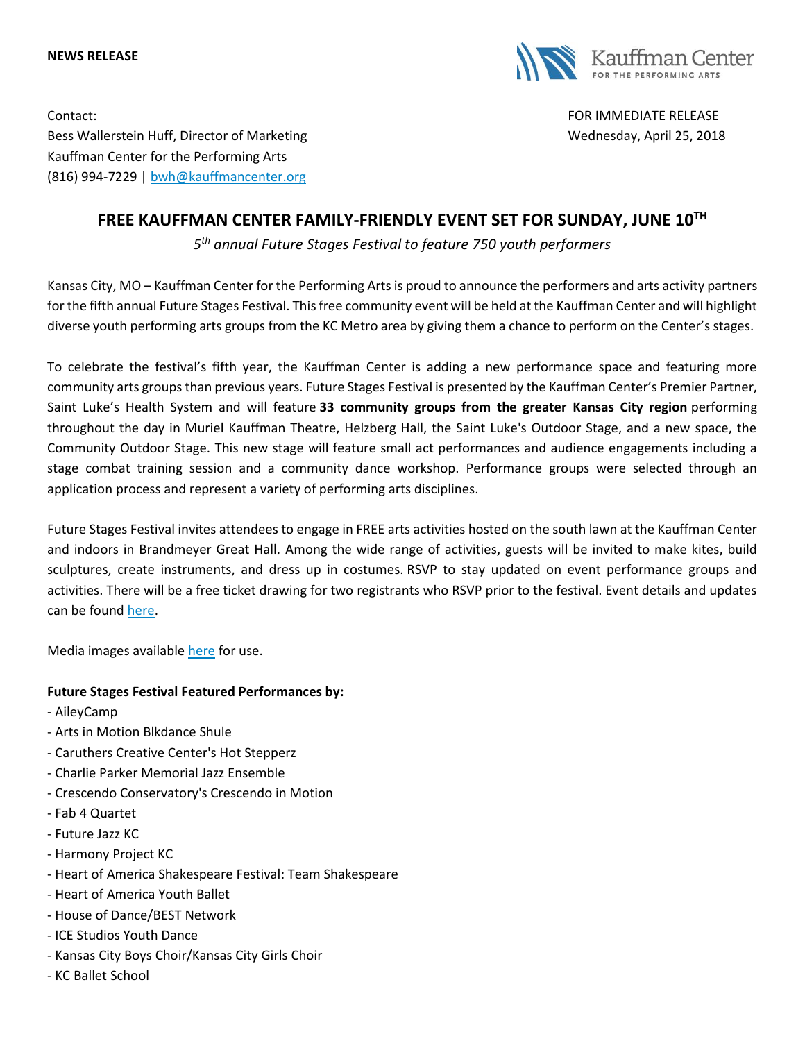#### **NEWS RELEASE**



Contact: FOR IMMEDIATE RELEASE Bess Wallerstein Huff, Director of Marketing Wednesday, April 25, 2018 Kauffman Center for the Performing Arts (816) 994-7229 | [bwh@kauffmancenter.org](mailto:bwh@kauffmancenter.org)

# **FREE KAUFFMAN CENTER FAMILY-FRIENDLY EVENT SET FOR SUNDAY, JUNE 10TH**

*5 th annual Future Stages Festival to feature 750 youth performers*

Kansas City, MO – Kauffman Center for the Performing Arts is proud to announce the performers and arts activity partners for the fifth annual Future Stages Festival. This free community event will be held at the Kauffman Center and will highlight diverse youth performing arts groups from the KC Metro area by giving them a chance to perform on the Center's stages.

To celebrate the festival's fifth year, the Kauffman Center is adding a new performance space and featuring more community arts groups than previous years. Future Stages Festival is presented by the Kauffman Center's Premier Partner, Saint Luke's Health System and will feature **33 community groups from the greater Kansas City region** performing throughout the day in Muriel Kauffman Theatre, Helzberg Hall, the Saint Luke's Outdoor Stage, and a new space, the Community Outdoor Stage. This new stage will feature small act performances and audience engagements including a stage combat training session and a community dance workshop. Performance groups were selected through an application process and represent a variety of performing arts disciplines.

Future Stages Festival invites attendees to engage in FREE arts activities hosted on the south lawn at the Kauffman Center and indoors in Brandmeyer Great Hall. Among the wide range of activities, guests will be invited to make kites, build sculptures, create instruments, and dress up in costumes. RSVP to stay updated on event performance groups and activities. There will be a free ticket drawing for two registrants who RSVP prior to the festival. Event details and updates can be found [here.](http://email.wordfly.com/click?sid=MTc4Xzg5ODNfMTMxMTFfNjk4Nw&l=d1cc3ba7-1744-e811-bcb0-e61f134a8c87&utm_source=wordfly&utm_medium=email&utm_campaign=FSF2018LineupPressRelease&utm_content=version_A&sourceNumber=)

Media images available [here](http://email.wordfly.com/click?sid=MTc4Xzg5ODNfMTMxMTFfNjk4Nw&l=d2cc3ba7-1744-e811-bcb0-e61f134a8c87&utm_source=wordfly&utm_medium=email&utm_campaign=FSF2018LineupPressRelease&utm_content=version_A&sourceNumber=) for use.

#### **Future Stages Festival Featured Performances by:**

- AileyCamp
- Arts in Motion Blkdance Shule
- Caruthers Creative Center's Hot Stepperz
- Charlie Parker Memorial Jazz Ensemble
- Crescendo Conservatory's Crescendo in Motion
- Fab 4 Quartet
- Future Jazz KC
- Harmony Project KC
- Heart of America Shakespeare Festival: Team Shakespeare
- Heart of America Youth Ballet
- House of Dance/BEST Network
- ICE Studios Youth Dance
- Kansas City Boys Choir/Kansas City Girls Choir
- KC Ballet School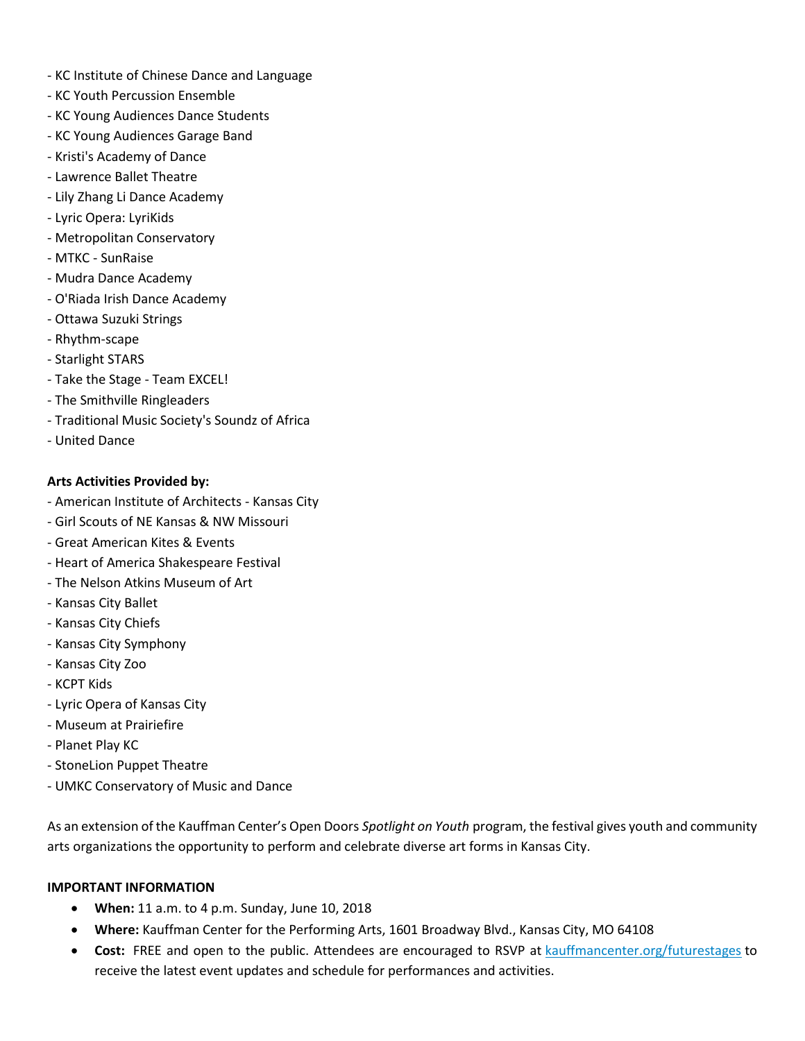- KC Institute of Chinese Dance and Language
- KC Youth Percussion Ensemble
- KC Young Audiences Dance Students
- KC Young Audiences Garage Band
- Kristi's Academy of Dance
- Lawrence Ballet Theatre
- Lily Zhang Li Dance Academy
- Lyric Opera: LyriKids
- Metropolitan Conservatory
- MTKC SunRaise
- Mudra Dance Academy
- O'Riada Irish Dance Academy
- Ottawa Suzuki Strings
- Rhythm-scape
- Starlight STARS
- Take the Stage Team EXCEL!
- The Smithville Ringleaders
- Traditional Music Society's Soundz of Africa
- United Dance

### **Arts Activities Provided by:**

- American Institute of Architects Kansas City
- Girl Scouts of NE Kansas & NW Missouri
- Great American Kites & Events
- Heart of America Shakespeare Festival
- The Nelson Atkins Museum of Art
- Kansas City Ballet
- Kansas City Chiefs
- Kansas City Symphony
- Kansas City Zoo
- KCPT Kids
- Lyric Opera of Kansas City
- Museum at Prairiefire
- Planet Play KC
- StoneLion Puppet Theatre
- UMKC Conservatory of Music and Dance

As an extension of the Kauffman Center's Open Doors *Spotlight on Youth* program, the festival gives youth and community arts organizations the opportunity to perform and celebrate diverse art forms in Kansas City.

#### **IMPORTANT INFORMATION**

- **When:** 11 a.m. to 4 p.m. Sunday, June 10, 2018
- **Where:** Kauffman Center for the Performing Arts, 1601 Broadway Blvd., Kansas City, MO 64108
- **Cost:** FREE and open to the public. Attendees are encouraged to RSVP at [kauffmancenter.org/futurestages](http://email.wordfly.com/click?sid=MTc4Xzg5ODNfMTMxMTFfNjk4Nw&l=d1cc3ba7-1744-e811-bcb0-e61f134a8c87&utm_source=wordfly&utm_medium=email&utm_campaign=FSF2018LineupPressRelease&utm_content=version_A&sourceNumber=) to receive the latest event updates and schedule for performances and activities.